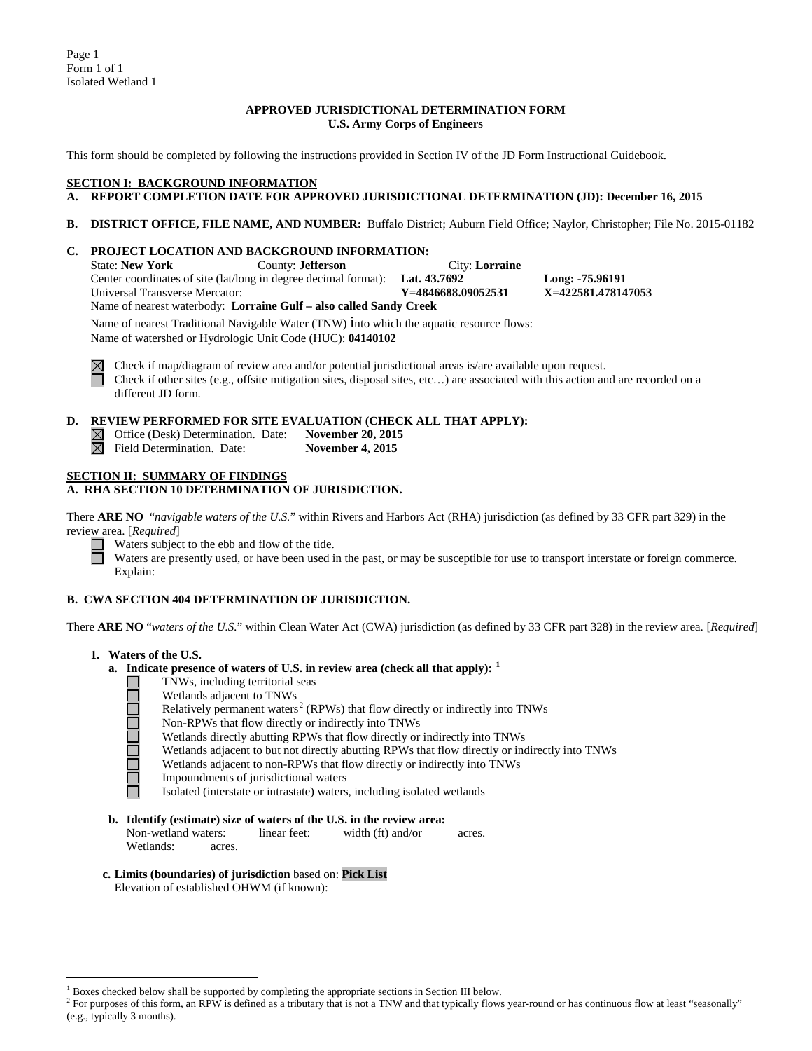Page 1 Form 1 of 1 Isolated Wetland 1

## **APPROVED JURISDICTIONAL DETERMINATION FORM U.S. Army Corps of Engineers**

This form should be completed by following the instructions provided in Section IV of the JD Form Instructional Guidebook.

## **SECTION I: BACKGROUND INFORMATION**

# **A. REPORT COMPLETION DATE FOR APPROVED JURISDICTIONAL DETERMINATION (JD): December 16, 2015**

**B. DISTRICT OFFICE, FILE NAME, AND NUMBER:** Buffalo District; Auburn Field Office; Naylor, Christopher; File No. 2015-01182

# **C. PROJECT LOCATION AND BACKGROUND INFORMATION:**

County: **Jefferson** City: **Lorraine**<br>in degree decimal format): **Lat. 43.7692** Center coordinates of site (lat/long in degree decimal format): **Lat. 43.7692 Long: -75.96191**<br>
Universal Transverse Mercator: **Y** =4846688.09052531 **X=422581.478147053** Universal Transverse Mercator: Name of nearest waterbody: **Lorraine Gulf – also called Sandy Creek** Name of nearest Traditional Navigable Water (TNW) into which the aquatic resource flows: Name of watershed or Hydrologic Unit Code (HUC): **04140102**



Check if map/diagram of review area and/or potential jurisdictional areas is/are available upon request. Check if other sites (e.g., offsite mitigation sites, disposal sites, etc…) are associated with this action and are recorded on a different JD form.

# **D. REVIEW PERFORMED FOR SITE EVALUATION (CHECK ALL THAT APPLY):**

|  |  |  | $\boxtimes$ Office (Desk) Determination |  |  |
|--|--|--|-----------------------------------------|--|--|
|--|--|--|-----------------------------------------|--|--|

| __ |                |  |  |
|----|----------------|--|--|
| ⊠  |                |  |  |
|    | Field Determin |  |  |

on. Date: **November 20, 2015** hation. Date: **November 4, 2015** 

#### **SECTION II: SUMMARY OF FINDINGS**

**A. RHA SECTION 10 DETERMINATION OF JURISDICTION.**

There **ARE NO** "*navigable waters of the U.S.*" within Rivers and Harbors Act (RHA) jurisdiction (as defined by 33 CFR part 329) in the review area. [*Required*]

Waters subject to the ebb and flow of the tide.

Waters are presently used, or have been used in the past, or may be susceptible for use to transport interstate or foreign commerce. Explain:

# **B. CWA SECTION 404 DETERMINATION OF JURISDICTION.**

There **ARE NO** "*waters of the U.S.*" within Clean Water Act (CWA) jurisdiction (as defined by 33 CFR part 328) in the review area. [*Required*]

- **1. Waters of the U.S.**
	- **a. Indicate presence of waters of U.S. in review area (check all that apply): [1](#page-0-0)**
		- TNWs, including territorial seas



⊔ Wetlands adjacent to TNWs

- Relatively permanent waters<sup>[2](#page-0-1)</sup> (RPWs) that flow directly or indirectly into TNWs
- Non-RPWs that flow directly or indirectly into TNWs
	- Wetlands directly abutting RPWs that flow directly or indirectly into TNWs
	- Wetlands adjacent to but not directly abutting RPWs that flow directly or indirectly into TNWs
	- Wetlands adjacent to non-RPWs that flow directly or indirectly into TNWs
- Impoundments of jurisdictional waters

Isolated (interstate or intrastate) waters, including isolated wetlands

- **b. Identify (estimate) size of waters of the U.S. in the review area:** Non-wetland waters: linear feet: width (ft) and/or acres.
	- Wetlands: acres.
- **c. Limits (boundaries) of jurisdiction** based on: **Pick List** Elevation of established OHWM (if known):

 $<sup>1</sup>$  Boxes checked below shall be supported by completing the appropriate sections in Section III below.</sup>

<span id="page-0-1"></span><span id="page-0-0"></span><sup>&</sup>lt;sup>2</sup> For purposes of this form, an RPW is defined as a tributary that is not a TNW and that typically flows year-round or has continuous flow at least "seasonally" (e.g., typically 3 months).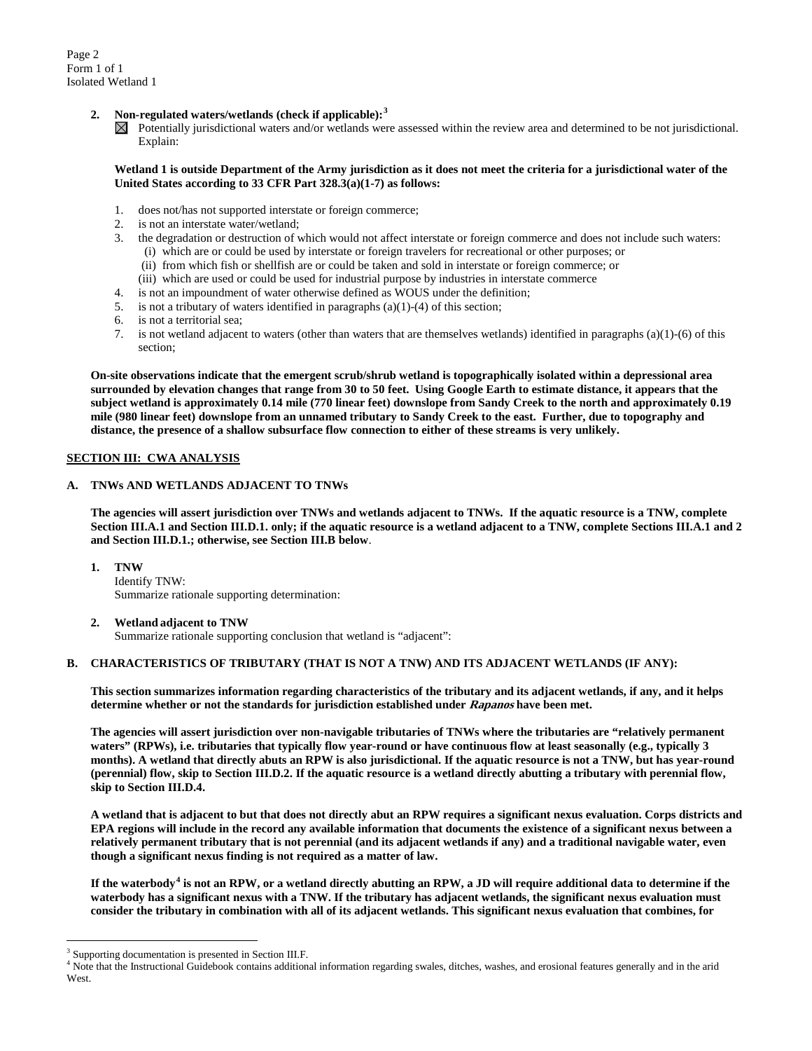Page 2 Form 1 of 1 Isolated Wetland 1

# **2. Non-regulated waters/wetlands (check if applicable): [3](#page-1-0)**

 $\boxtimes$  Potentially jurisdictional waters and/or wetlands were assessed within the review area and determined to be not jurisdictional. Explain:

## **Wetland 1 is outside Department of the Army jurisdiction as it does not meet the criteria for a jurisdictional water of the United States according to 33 CFR Part 328.3(a)(1-7) as follows:**

- 1. does not/has not supported interstate or foreign commerce;
- 2. is not an interstate water/wetland;
- 3. the degradation or destruction of which would not affect interstate or foreign commerce and does not include such waters:
	- (i) which are or could be used by interstate or foreign travelers for recreational or other purposes; or
	- (ii) from which fish or shellfish are or could be taken and sold in interstate or foreign commerce; or
	- (iii) which are used or could be used for industrial purpose by industries in interstate commerce
- 4. is not an impoundment of water otherwise defined as WOUS under the definition;
- 5. is not a tributary of waters identified in paragraphs (a)(1)-(4) of this section;
- 6. is not a territorial sea;
- 7. is not wetland adjacent to waters (other than waters that are themselves wetlands) identified in paragraphs (a)(1)-(6) of this section;

**On-site observations indicate that the emergent scrub/shrub wetland is topographically isolated within a depressional area surrounded by elevation changes that range from 30 to 50 feet. Using Google Earth to estimate distance, it appears that the subject wetland is approximately 0.14 mile (770 linear feet) downslope from Sandy Creek to the north and approximately 0.19 mile (980 linear feet) downslope from an unnamed tributary to Sandy Creek to the east. Further, due to topography and distance, the presence of a shallow subsurface flow connection to either of these streams is very unlikely.**

# **SECTION III: CWA ANALYSIS**

# **A. TNWs AND WETLANDS ADJACENT TO TNWs**

**The agencies will assert jurisdiction over TNWs and wetlands adjacent to TNWs. If the aquatic resource is a TNW, complete Section III.A.1 and Section III.D.1. only; if the aquatic resource is a wetland adjacent to a TNW, complete Sections III.A.1 and 2 and Section III.D.1.; otherwise, see Section III.B below**.

- **1. TNW** 
	- Identify TNW: Summarize rationale supporting determination:
- **2. Wetland adjacent to TNW**

Summarize rationale supporting conclusion that wetland is "adjacent":

# **B. CHARACTERISTICS OF TRIBUTARY (THAT IS NOT A TNW) AND ITS ADJACENT WETLANDS (IF ANY):**

**This section summarizes information regarding characteristics of the tributary and its adjacent wetlands, if any, and it helps determine whether or not the standards for jurisdiction established under Rapanos have been met.** 

**The agencies will assert jurisdiction over non-navigable tributaries of TNWs where the tributaries are "relatively permanent waters" (RPWs), i.e. tributaries that typically flow year-round or have continuous flow at least seasonally (e.g., typically 3 months). A wetland that directly abuts an RPW is also jurisdictional. If the aquatic resource is not a TNW, but has year-round (perennial) flow, skip to Section III.D.2. If the aquatic resource is a wetland directly abutting a tributary with perennial flow, skip to Section III.D.4.**

**A wetland that is adjacent to but that does not directly abut an RPW requires a significant nexus evaluation. Corps districts and EPA regions will include in the record any available information that documents the existence of a significant nexus between a relatively permanent tributary that is not perennial (and its adjacent wetlands if any) and a traditional navigable water, even though a significant nexus finding is not required as a matter of law.**

**If the waterbody[4](#page-1-1) is not an RPW, or a wetland directly abutting an RPW, a JD will require additional data to determine if the waterbody has a significant nexus with a TNW. If the tributary has adjacent wetlands, the significant nexus evaluation must consider the tributary in combination with all of its adjacent wetlands. This significant nexus evaluation that combines, for** 

<span id="page-1-0"></span><sup>&</sup>lt;sup>3</sup> Supporting documentation is presented in Section III.F.

<span id="page-1-1"></span><sup>&</sup>lt;sup>4</sup> Note that the Instructional Guidebook contains additional information regarding swales, ditches, washes, and erosional features generally and in the arid West.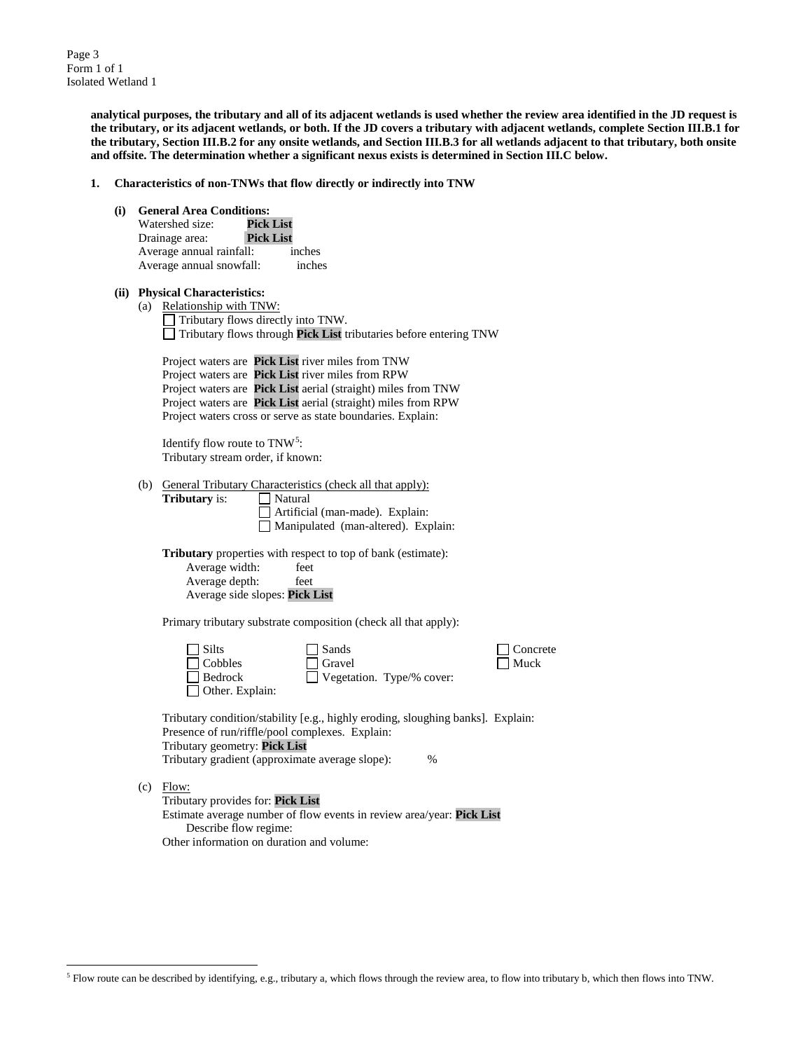Page 3 Form 1 of 1 Isolated Wetland 1

> **analytical purposes, the tributary and all of its adjacent wetlands is used whether the review area identified in the JD request is the tributary, or its adjacent wetlands, or both. If the JD covers a tributary with adjacent wetlands, complete Section III.B.1 for the tributary, Section III.B.2 for any onsite wetlands, and Section III.B.3 for all wetlands adjacent to that tributary, both onsite and offsite. The determination whether a significant nexus exists is determined in Section III.C below.**

- **1. Characteristics of non-TNWs that flow directly or indirectly into TNW**
	- **(i) General Area Conditions:** Watershed size: Drainage area: **Pick List** Average annual rainfall: inches Average annual snowfall: inches
	- **(ii) Physical Characteristics:**

**Tributary** is:

(a) Relationship with TNW: Tributary flows directly into TNW. Tributary flows through **Pick List** tributaries before entering TNW

Project waters are **Pick List** river miles from TNW Project waters are **Pick List** river miles from RPW Project waters are **Pick List** aerial (straight) miles from TNW Project waters are **Pick List** aerial (straight) miles from RPW Project waters cross or serve as state boundaries. Explain:

Identify flow route to  $TNW<sup>5</sup>$  $TNW<sup>5</sup>$  $TNW<sup>5</sup>$ : Tributary stream order, if known:

(b) General Tributary Characteristics (check all that apply):<br> **Tributary** is:  $\Box$  Natural

Artificial (man-made). Explain: Manipulated (man-altered). Explain:

**Tributary** properties with respect to top of bank (estimate): Average width: feet

Average depth: feet Average side slopes: **Pick List**

Primary tributary substrate composition (check all that apply):

| $\Box$ Silts           | $\Box$ Sands                     |
|------------------------|----------------------------------|
| $\Box$ Cobbles         | $\Box$ Gravel                    |
| $\Box$ Bedrock         | $\Box$ Vegetation. Type/% cover: |
| $\Box$ Other. Explain: |                                  |

Tributary condition/stability [e.g., highly eroding, sloughing banks]. Explain: Presence of run/riffle/pool complexes. Explain: Tributary geometry: **Pick List** Tributary gradient (approximate average slope): %

 $\Box$  Concrete  $\Box$  Muck

(c) Flow:

Tributary provides for: **Pick List** Estimate average number of flow events in review area/year: **Pick List** Describe flow regime: Other information on duration and volume:

<span id="page-2-0"></span> $<sup>5</sup>$  Flow route can be described by identifying, e.g., tributary a, which flows through the review area, to flow into tributary b, which then flows into TNW.</sup>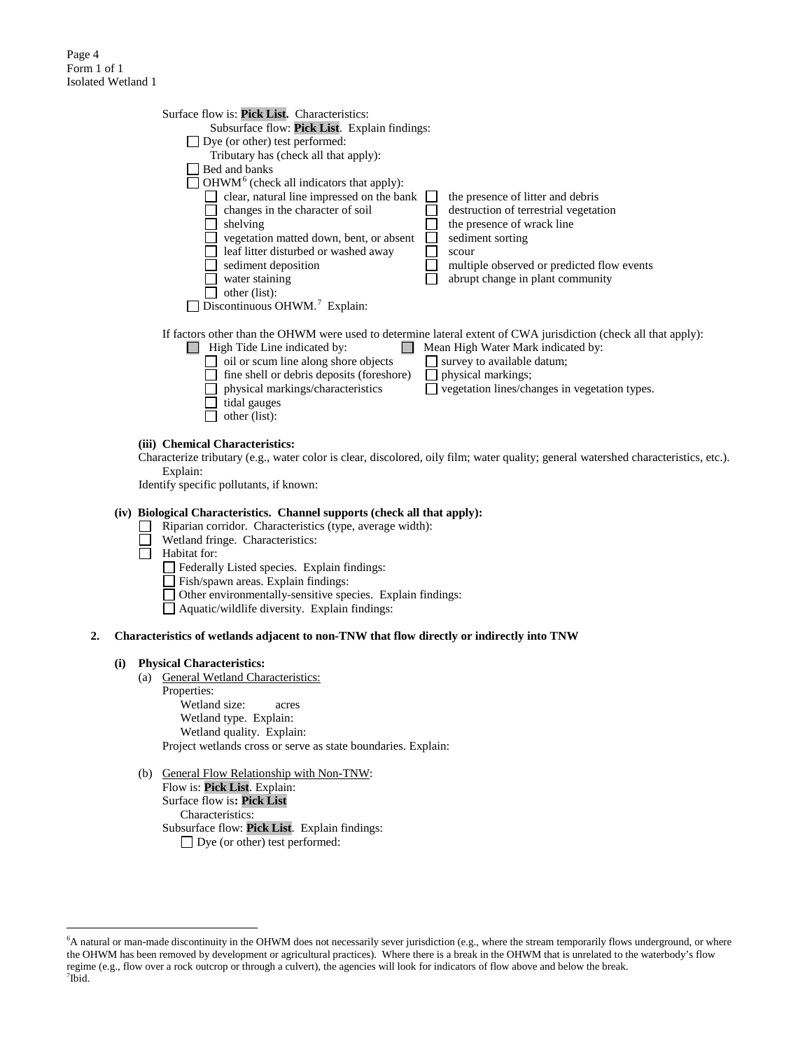### Page 4 Form 1 of 1 Isolated Wetland 1

| Surface flow is: <b>Pick List.</b> Characteristics: |                                                                                                                  |
|-----------------------------------------------------|------------------------------------------------------------------------------------------------------------------|
| Subsurface flow: Pick List. Explain findings:       |                                                                                                                  |
| Dye (or other) test performed:                      |                                                                                                                  |
| Tributary has (check all that apply):               |                                                                                                                  |
| Bed and banks                                       |                                                                                                                  |
| $OHWM6$ (check all indicators that apply):          |                                                                                                                  |
| clear, natural line impressed on the bank           | the presence of litter and debris                                                                                |
| changes in the character of soil                    | destruction of terrestrial vegetation                                                                            |
| shelving                                            | the presence of wrack line                                                                                       |
| vegetation matted down, bent, or absent             | sediment sorting                                                                                                 |
| leaf litter disturbed or washed away                | scour                                                                                                            |
| sediment deposition                                 | multiple observed or predicted flow events                                                                       |
| water staining                                      | abrupt change in plant community                                                                                 |
| other (list):                                       |                                                                                                                  |
| Discontinuous OHWM. <sup>7</sup> Explain:           |                                                                                                                  |
|                                                     |                                                                                                                  |
|                                                     | If factors other than the OHWM were used to determine lateral extent of CWA jurisdiction (check all that apply): |
| High Tide Line indicated by:                        | Mean High Water Mark indicated by:                                                                               |
| oil or scum line along shore objects                | survey to available datum;                                                                                       |
| fine shell or debris deposits (foreshore)           | physical markings;                                                                                               |
| physical markings/characteristics                   | vegetation lines/changes in vegetation types.                                                                    |
| tidal gauges                                        |                                                                                                                  |
| other (list):                                       |                                                                                                                  |
|                                                     |                                                                                                                  |

# **(iii) Chemical Characteristics:**

Characterize tributary (e.g., water color is clear, discolored, oily film; water quality; general watershed characteristics, etc.). Explain:

Identify specific pollutants, if known:

## **(iv) Biological Characteristics. Channel supports (check all that apply):**

- Riparian corridor. Characteristics (type, average width): ⊔
- П Wetland fringe. Characteristics:
- Ħ Habitat for:
	- Federally Listed species. Explain findings:
	- Fish/spawn areas. Explain findings:
	- Other environmentally-sensitive species. Explain findings:
	- Aquatic/wildlife diversity. Explain findings:

### **2. Characteristics of wetlands adjacent to non-TNW that flow directly or indirectly into TNW**

#### **(i) Physical Characteristics:**

- (a) General Wetland Characteristics: Properties: Wetland size: acres Wetland type. Explain: Wetland quality. Explain: Project wetlands cross or serve as state boundaries. Explain:
- (b) General Flow Relationship with Non-TNW:

Flow is: **Pick List**. Explain: Surface flow is**: Pick List**  Characteristics: Subsurface flow: **Pick List**. Explain findings: □ Dye (or other) test performed:

<span id="page-3-1"></span><span id="page-3-0"></span> <sup>6</sup> <sup>6</sup>A natural or man-made discontinuity in the OHWM does not necessarily sever jurisdiction (e.g., where the stream temporarily flows underground, or where the OHWM has been removed by development or agricultural practices). Where there is a break in the OHWM that is unrelated to the waterbody's flow regime (e.g., flow over a rock outcrop or through a culvert), the agencies will look for indicators of flow above and below the break. <sup>7</sup>  $^7$ Ibid.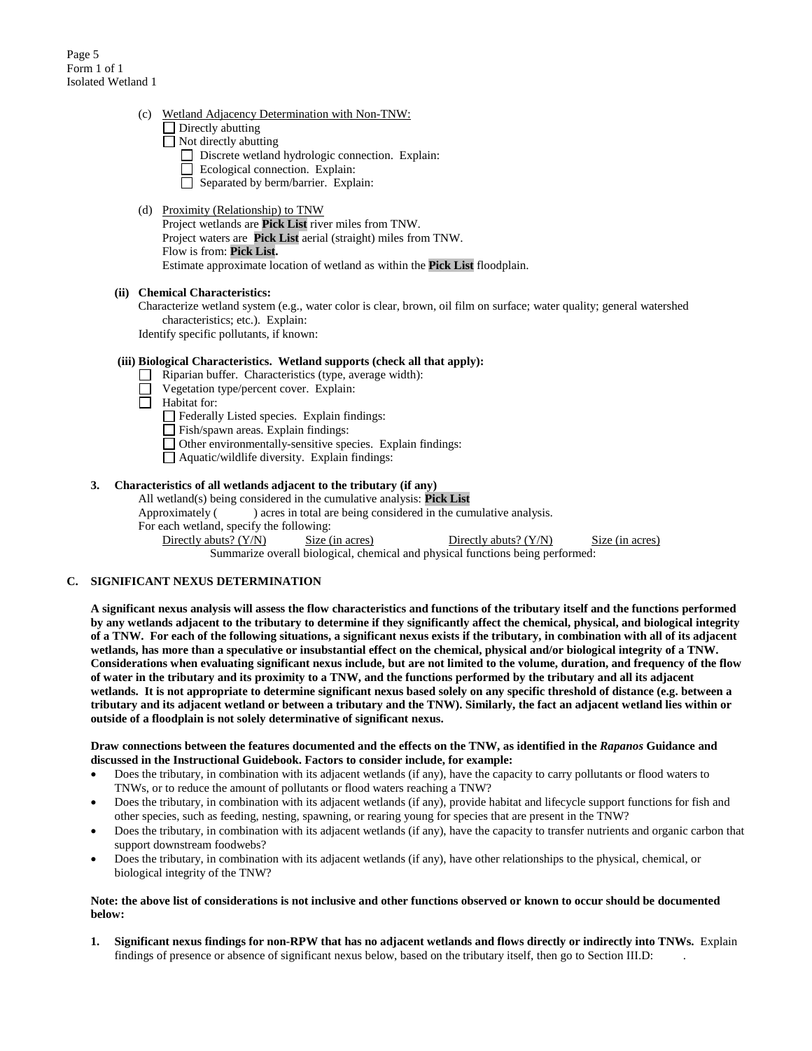## (c) Wetland Adjacency Determination with Non-TNW:

| $\Box$ Directly abutting |  |
|--------------------------|--|
|                          |  |

- $\Box$  Not directly abutting
	- Discrete wetland hydrologic connection. Explain:
- Ecological connection. Explain:
	- $\Box$  Separated by berm/barrier. Explain:

## (d) Proximity (Relationship) to TNW

Project wetlands are **Pick List** river miles from TNW. Project waters are **Pick List** aerial (straight) miles from TNW. Flow is from: **Pick List.** Estimate approximate location of wetland as within the **Pick List** floodplain.

# **(ii) Chemical Characteristics:**

Characterize wetland system (e.g., water color is clear, brown, oil film on surface; water quality; general watershed characteristics; etc.). Explain:

Identify specific pollutants, if known:

# **(iii) Biological Characteristics. Wetland supports (check all that apply):**

- Riparian buffer. Characteristics (type, average width):
- Vegetation type/percent cover. Explain:
- П Habitat for:

Federally Listed species. Explain findings:

- Fish/spawn areas. Explain findings:
- Other environmentally-sensitive species. Explain findings:
- Aquatic/wildlife diversity. Explain findings:

## **3. Characteristics of all wetlands adjacent to the tributary (if any)**

# All wetland(s) being considered in the cumulative analysis: **Pick List**

Approximately () acres in total are being considered in the cumulative analysis.

For each wetland, specify the following:<br>Directly abuts? (Y/N) Size (

Size (in acres) Directly abuts? (Y/N) Size (in acres)

Summarize overall biological, chemical and physical functions being performed:

# **C. SIGNIFICANT NEXUS DETERMINATION**

**A significant nexus analysis will assess the flow characteristics and functions of the tributary itself and the functions performed by any wetlands adjacent to the tributary to determine if they significantly affect the chemical, physical, and biological integrity of a TNW. For each of the following situations, a significant nexus exists if the tributary, in combination with all of its adjacent wetlands, has more than a speculative or insubstantial effect on the chemical, physical and/or biological integrity of a TNW. Considerations when evaluating significant nexus include, but are not limited to the volume, duration, and frequency of the flow of water in the tributary and its proximity to a TNW, and the functions performed by the tributary and all its adjacent wetlands. It is not appropriate to determine significant nexus based solely on any specific threshold of distance (e.g. between a tributary and its adjacent wetland or between a tributary and the TNW). Similarly, the fact an adjacent wetland lies within or outside of a floodplain is not solely determinative of significant nexus.** 

## **Draw connections between the features documented and the effects on the TNW, as identified in the** *Rapanos* **Guidance and discussed in the Instructional Guidebook. Factors to consider include, for example:**

- Does the tributary, in combination with its adjacent wetlands (if any), have the capacity to carry pollutants or flood waters to TNWs, or to reduce the amount of pollutants or flood waters reaching a TNW?
- Does the tributary, in combination with its adjacent wetlands (if any), provide habitat and lifecycle support functions for fish and other species, such as feeding, nesting, spawning, or rearing young for species that are present in the TNW?
- Does the tributary, in combination with its adjacent wetlands (if any), have the capacity to transfer nutrients and organic carbon that support downstream foodwebs?
- Does the tributary, in combination with its adjacent wetlands (if any), have other relationships to the physical, chemical, or biological integrity of the TNW?

#### **Note: the above list of considerations is not inclusive and other functions observed or known to occur should be documented below:**

**1. Significant nexus findings for non-RPW that has no adjacent wetlands and flows directly or indirectly into TNWs.** Explain findings of presence or absence of significant nexus below, based on the tributary itself, then go to Section III.D: .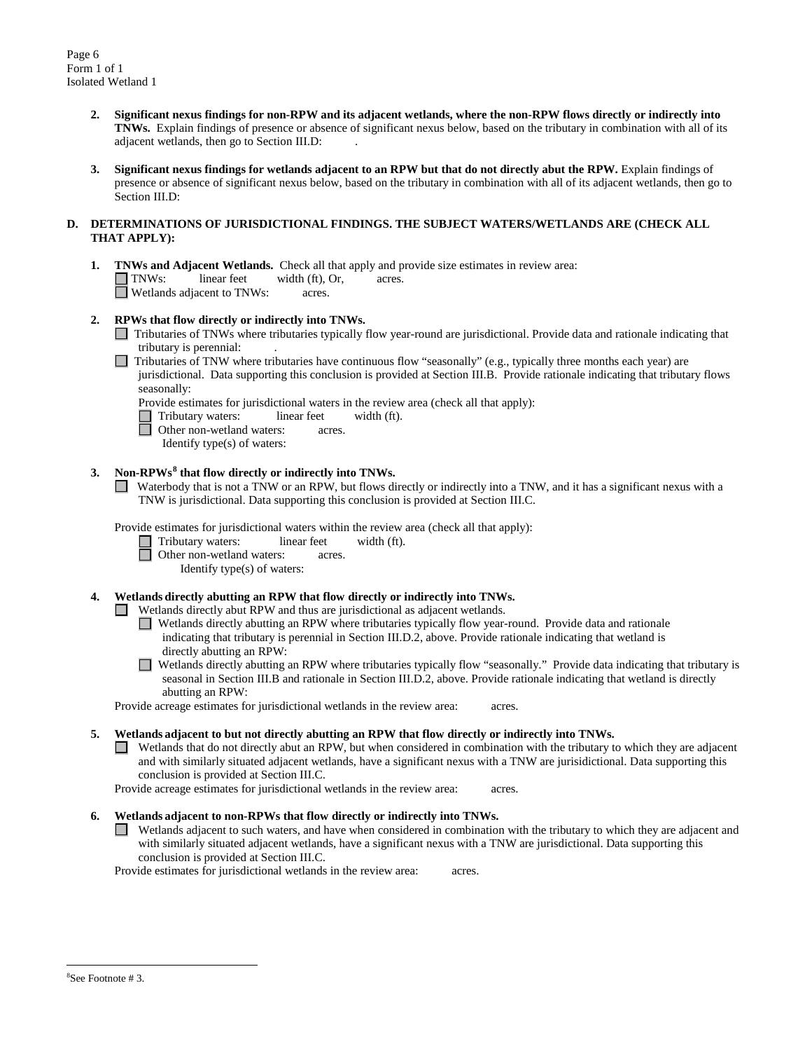- **2. Significant nexus findings for non-RPW and its adjacent wetlands, where the non-RPW flows directly or indirectly into TNWs.** Explain findings of presence or absence of significant nexus below, based on the tributary in combination with all of its adjacent wetlands, then go to Section III.D: .
- **3. Significant nexus findings for wetlands adjacent to an RPW but that do not directly abut the RPW.** Explain findings of presence or absence of significant nexus below, based on the tributary in combination with all of its adjacent wetlands, then go to Section III.D:

## **D. DETERMINATIONS OF JURISDICTIONAL FINDINGS. THE SUBJECT WATERS/WETLANDS ARE (CHECK ALL THAT APPLY):**

**1. TNWs and Adjacent Wetlands.** Check all that apply and provide size estimates in review area:<br> **INWs:** linear feet width (ft), Or, acres.  $width (ft), Or, a  
cres.$ Wetlands adjacent to TNWs: acres.

# **2. RPWs that flow directly or indirectly into TNWs.**

- Tributaries of TNWs where tributaries typically flow year-round are jurisdictional. Provide data and rationale indicating that tributary is perennial: .
- $\Box$  Tributaries of TNW where tributaries have continuous flow "seasonally" (e.g., typically three months each year) are jurisdictional. Data supporting this conclusion is provided at Section III.B. Provide rationale indicating that tributary flows seasonally:
	- Provide estimates for jurisdictional waters in the review area (check all that apply):<br>
	Tributary waters: linear feet width (ft).<br>
	Other non-wetland waters: acres.
	- Tributary waters: linear feet width (ft).
	- Other non-wetland waters: acres.
	- Identify type(s) of waters:

# **3. Non-RPWs[8](#page-5-0) that flow directly or indirectly into TNWs.**

Waterbody that is not a TNW or an RPW, but flows directly or indirectly into a TNW, and it has a significant nexus with a TNW is jurisdictional. Data supporting this conclusion is provided at Section III.C.

Provide estimates for jurisdictional waters within the review area (check all that apply):<br>
Tributary waters: linear feet width (ft).

- Tributary waters: linear feet width (ft).
	- Other non-wetland waters: acres.
		- Identify type(s) of waters:

# **4. Wetlands directly abutting an RPW that flow directly or indirectly into TNWs.**

Wetlands directly abut RPW and thus are jurisdictional as adjacent wetlands.

- Wetlands directly abutting an RPW where tributaries typically flow year-round. Provide data and rationale indicating that tributary is perennial in Section III.D.2, above. Provide rationale indicating that wetland is directly abutting an RPW:
- Wetlands directly abutting an RPW where tributaries typically flow "seasonally." Provide data indicating that tributary is seasonal in Section III.B and rationale in Section III.D.2, above. Provide rationale indicating that wetland is directly abutting an RPW:

Provide acreage estimates for jurisdictional wetlands in the review area: acres.

**5. Wetlands adjacent to but not directly abutting an RPW that flow directly or indirectly into TNWs.**

Wetlands that do not directly abut an RPW, but when considered in combination with the tributary to which they are adjacent and with similarly situated adjacent wetlands, have a significant nexus with a TNW are jurisidictional. Data supporting this conclusion is provided at Section III.C.

Provide acreage estimates for jurisdictional wetlands in the review area: acres.

- **6. Wetlands adjacent to non-RPWs that flow directly or indirectly into TNWs.** 
	- Wetlands adjacent to such waters, and have when considered in combination with the tributary to which they are adjacent and with similarly situated adjacent wetlands, have a significant nexus with a TNW are jurisdictional. Data supporting this conclusion is provided at Section III.C.

<span id="page-5-0"></span>Provide estimates for jurisdictional wetlands in the review area: acres.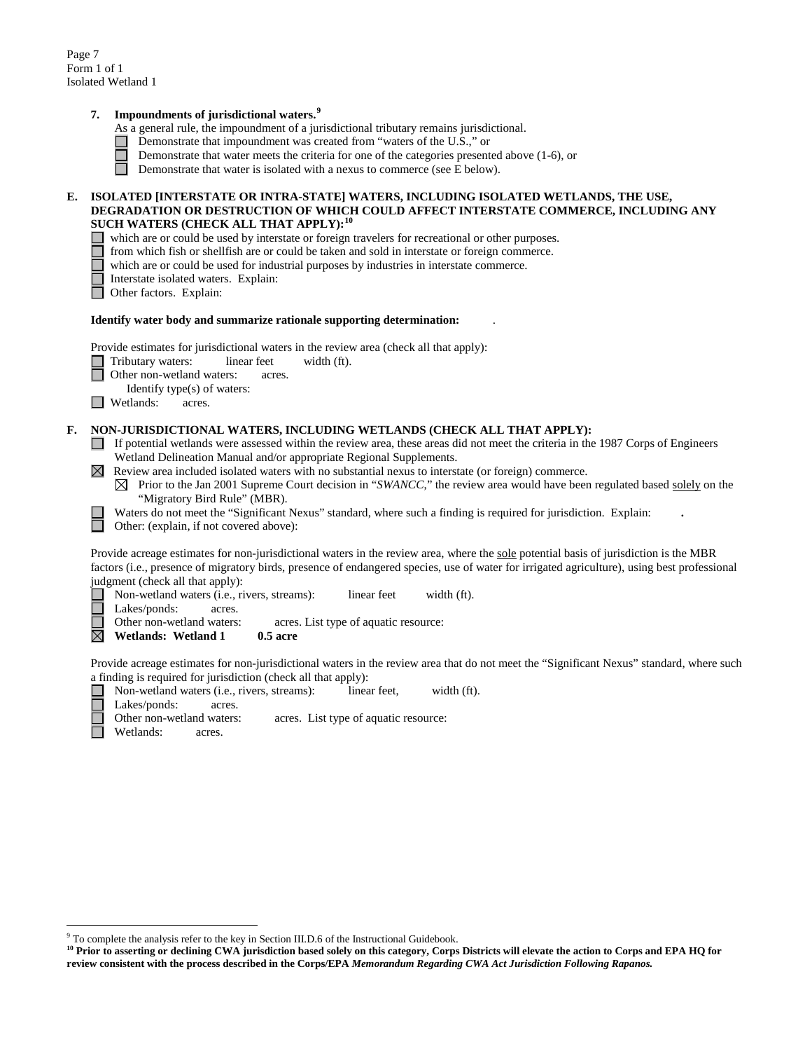# **7. Impoundments of jurisdictional waters. [9](#page-6-0)**

- As a general rule, the impoundment of a jurisdictional tributary remains jurisdictional.
- Demonstrate that impoundment was created from "waters of the U.S.," or
	- Demonstrate that water meets the criteria for one of the categories presented above (1-6), or
- $\Box$ Demonstrate that water is isolated with a nexus to commerce (see E below).

## **E. ISOLATED [INTERSTATE OR INTRA-STATE] WATERS, INCLUDING ISOLATED WETLANDS, THE USE, DEGRADATION OR DESTRUCTION OF WHICH COULD AFFECT INTERSTATE COMMERCE, INCLUDING ANY SUCH WATERS (CHECK ALL THAT APPLY):[10](#page-6-1)**

- which are or could be used by interstate or foreign travelers for recreational or other purposes.
- from which fish or shellfish are or could be taken and sold in interstate or foreign commerce.
- which are or could be used for industrial purposes by industries in interstate commerce.
- Interstate isolated waters.Explain:
- Other factors.Explain:

#### **Identify water body and summarize rationale supporting determination:** .

Provide estimates for jurisdictional waters in the review area (check all that apply):

Tributary waters: linear feet width (ft).

**Other non-wetland waters: acres.** 

- Identify type(s) of waters:
- **Netlands:** acres.

#### **F. NON-JURISDICTIONAL WATERS, INCLUDING WETLANDS (CHECK ALL THAT APPLY):**

- If potential wetlands were assessed within the review area, these areas did not meet the criteria in the 1987 Corps of Engineers Wetland Delineation Manual and/or appropriate Regional Supplements.
- $\boxtimes$  Review area included isolated waters with no substantial nexus to interstate (or foreign) commerce.
	- $\boxtimes$  Prior to the Jan 2001 Supreme Court decision in "*SWANCC*," the review area would have been regulated based solely on the "Migratory Bird Rule" (MBR).
	- Waters do not meet the "Significant Nexus" standard, where such a finding is required for jurisdiction. Explain: **.**

Other: (explain, if not covered above):

Provide acreage estimates for non-jurisdictional waters in the review area, where the sole potential basis of jurisdiction is the MBR factors (i.e., presence of migratory birds, presence of endangered species, use of water for irrigated agriculture), using best professional judgment (check all that apply):

Non-wetland waters (i.e., rivers, streams): linear feet width (ft).

Lakes/ponds: acres.

Other non-wetland waters: acres. List type of aquatic resource:

 $\boxtimes$ **Wetlands: Wetland 1 0.5 acre** 

Provide acreage estimates for non-jurisdictional waters in the review area that do not meet the "Significant Nexus" standard, where such a finding is required for jurisdiction (check all that apply):

- П Non-wetland waters (i.e., rivers, streams): linear feet, width (ft).
	- Lakes/ponds: acres.
	- Other non-wetland waters: acres. List type of aquatic resource:
	- Wetlands: acres.

<span id="page-6-0"></span><sup>&</sup>lt;sup>9</sup> To complete the analysis refer to the key in Section III.D.6 of the Instructional Guidebook.

<span id="page-6-1"></span><sup>&</sup>lt;sup>10</sup> Prior to asserting or declining CWA jurisdiction based solely on this category, Corps Districts will elevate the action to Corps and EPA HQ for **review consistent with the process described in the Corps/EPA** *Memorandum Regarding CWA Act Jurisdiction Following Rapanos.*